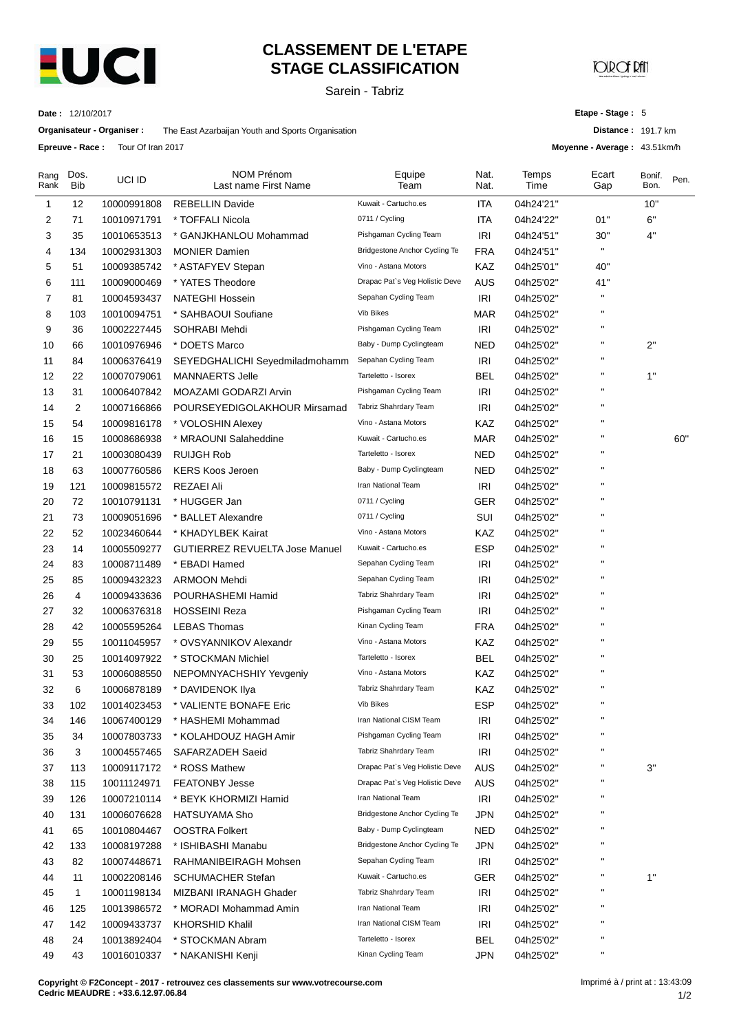

**Epreuve - Race :** Tour Of Iran 2017

### **CLASSEMENT DE L'ETAPE STAGE CLASSIFICATION**

Sarein - Tabriz

### **JOIR OF PAI**

**Date :** 12/10/2017

**Organisateur - Organiser :** The East Azarbaijan Youth and Sports Organisation

**Etape - Stage :** 5

**Distance :** 191.7 km

**Moyenne - Average :** 43.51km/h

| Rang<br>Rank | Dos.<br><b>Bib</b> | UCI ID      | NOM Prénom<br>Last name First Name    | Equipe<br>Team                 | Nat.<br>Nat. | Temps<br>Time | Ecart<br>Gap           | Bonif.<br>Bon. | Pen. |
|--------------|--------------------|-------------|---------------------------------------|--------------------------------|--------------|---------------|------------------------|----------------|------|
| 1            | 12                 | 10000991808 | <b>REBELLIN Davide</b>                | Kuwait - Cartucho.es           | ITA          | 04h24'21"     |                        | 10"            |      |
| 2            | 71                 | 10010971791 | * TOFFALI Nicola                      | 0711 / Cycling                 | ITA          | 04h24'22"     | 01"                    | 6"             |      |
| 3            | 35                 | 10010653513 | * GANJKHANLOU Mohammad                | Pishgaman Cycling Team         | IRI          | 04h24'51"     | 30"                    | 4"             |      |
| 4            | 134                | 10002931303 | <b>MONIER Damien</b>                  | Bridgestone Anchor Cycling Te  | <b>FRA</b>   | 04h24'51"     |                        |                |      |
| 5            | 51                 | 10009385742 | * ASTAFYEV Stepan                     | Vino - Astana Motors           | KAZ          | 04h25'01"     | 40"                    |                |      |
| 6            | 111                | 10009000469 | * YATES Theodore                      | Drapac Pat's Veg Holistic Deve | AUS          | 04h25'02"     | 41"                    |                |      |
| 7            | 81                 | 10004593437 | <b>NATEGHI Hossein</b>                | Sepahan Cycling Team           | IRI          | 04h25'02"     | п                      |                |      |
| 8            | 103                | 10010094751 | * SAHBAOUI Soufiane                   | Vib Bikes                      | MAR          | 04h25'02"     | п                      |                |      |
| 9            | 36                 | 10002227445 | SOHRABI Mehdi                         | Pishgaman Cycling Team         | IRI          | 04h25'02"     | $\pmb{\mathsf{H}}$     |                |      |
| 10           | 66                 | 10010976946 | * DOETS Marco                         | Baby - Dump Cyclingteam        | <b>NED</b>   | 04h25'02"     | п                      | 2"             |      |
| 11           | 84                 | 10006376419 | SEYEDGHALICHI Seyedmiladmohamm        | Sepahan Cycling Team           | IRI          | 04h25'02"     | п                      |                |      |
| 12           | 22                 | 10007079061 | MANNAERTS Jelle                       | Tarteletto - Isorex            | BEL          | 04h25'02"     | п                      | 1"             |      |
| 13           | 31                 | 10006407842 | MOAZAMI GODARZI Arvin                 | Pishgaman Cycling Team         | IRI          | 04h25'02"     | $\blacksquare$         |                |      |
| 14           | 2                  | 10007166866 | POURSEYEDIGOLAKHOUR Mirsamad          | Tabriz Shahrdary Team          | IRI          | 04h25'02"     | п                      |                |      |
| 15           | 54                 | 10009816178 | * VOLOSHIN Alexey                     | Vino - Astana Motors           | KAZ          | 04h25'02"     | п                      |                |      |
| 16           | 15                 | 10008686938 | * MRAOUNI Salaheddine                 | Kuwait - Cartucho.es           | MAR          | 04h25'02"     | $\pmb{\mathsf{H}}$     |                | 60"  |
| 17           | 21                 | 10003080439 | <b>RUIJGH Rob</b>                     | Tarteletto - Isorex            | <b>NED</b>   | 04h25'02"     | $\blacksquare$         |                |      |
| 18           | 63                 | 10007760586 | <b>KERS Koos Jeroen</b>               | Baby - Dump Cyclingteam        | NED          | 04h25'02"     | п                      |                |      |
| 19           | 121                | 10009815572 | <b>REZAEI Ali</b>                     | Iran National Team             | IRI          | 04h25'02"     |                        |                |      |
| 20           | 72                 | 10010791131 | * HUGGER Jan                          | 0711 / Cycling                 | <b>GER</b>   | 04h25'02"     | П                      |                |      |
| 21           | 73                 | 10009051696 | * BALLET Alexandre                    | 0711 / Cycling                 | SUI          | 04h25'02"     | п                      |                |      |
| 22           | 52                 | 10023460644 | * KHADYLBEK Kairat                    | Vino - Astana Motors           | KAZ          | 04h25'02"     | п                      |                |      |
| 23           | 14                 | 10005509277 | <b>GUTIERREZ REVUELTA Jose Manuel</b> | Kuwait - Cartucho.es           | ESP          | 04h25'02"     | $\blacksquare$         |                |      |
| 24           | 83                 | 10008711489 | * EBADI Hamed                         | Sepahan Cycling Team           | <b>IRI</b>   | 04h25'02"     | п                      |                |      |
| 25           | 85                 | 10009432323 | <b>ARMOON Mehdi</b>                   | Sepahan Cycling Team           | IRI          | 04h25'02"     | п                      |                |      |
| 26           | 4                  | 10009433636 | POURHASHEMI Hamid                     | Tabriz Shahrdary Team          | IRI          | 04h25'02"     | п                      |                |      |
| 27           | 32                 | 10006376318 | <b>HOSSEINI Reza</b>                  | Pishgaman Cycling Team         | IRI          | 04h25'02"     |                        |                |      |
| 28           | 42                 | 10005595264 | <b>LEBAS Thomas</b>                   | Kinan Cycling Team             | <b>FRA</b>   | 04h25'02"     | П                      |                |      |
| 29           | 55                 | 10011045957 | * OVSYANNIKOV Alexandr                | Vino - Astana Motors           | KAZ          | 04h25'02"     | $\blacksquare$         |                |      |
| 30           | 25                 | 10014097922 | * STOCKMAN Michiel                    | Tarteletto - Isorex            | BEL          | 04h25'02"     | п                      |                |      |
| 31           | 53                 | 10006088550 | NEPOMNYACHSHIY Yevgeniy               | Vino - Astana Motors           | KAZ          | 04h25'02"     | $\pmb{\mathsf{H}}$     |                |      |
| 32           | 6                  | 10006878189 | * DAVIDENOK Ilya                      | Tabriz Shahrdary Team          | KAZ          | 04h25'02"     | п                      |                |      |
| 33           | 102                | 10014023453 | * VALIENTE BONAFE Eric                | <b>Vib Bikes</b>               | <b>ESP</b>   | 04h25'02"     | $\blacksquare$         |                |      |
| 34           | 146                | 10067400129 | * HASHEMI Mohammad                    | Iran National CISM Team        | <b>IRI</b>   | 04h25'02"     | $\pmb{\mathsf{H}}$     |                |      |
| 35           | 34                 | 10007803733 | * KOLAHDOUZ HAGH Amir                 | Pishgaman Cycling Team         | <b>IRI</b>   | 04h25'02"     |                        |                |      |
| 36           | 3                  | 10004557465 | SAFARZADEH Saeid                      | Tabriz Shahrdary Team          | <b>IRI</b>   | 04h25'02"     | П                      |                |      |
| 37           | 113                | 10009117172 | * ROSS Mathew                         | Drapac Pat's Veg Holistic Deve | AUS          | 04h25'02"     | п                      | 3"             |      |
| 38           | 115                | 10011124971 | <b>FEATONBY Jesse</b>                 | Drapac Pat's Veg Holistic Deve | AUS          | 04h25'02"     | н                      |                |      |
| 39           | 126                | 10007210114 | * BEYK KHORMIZI Hamid                 | Iran National Team             | IRI          | 04h25'02"     | $\pmb{\mathsf{H}}$     |                |      |
| 40           | 131                | 10006076628 | HATSUYAMA Sho                         | Bridgestone Anchor Cycling Te  | <b>JPN</b>   | 04h25'02"     | н                      |                |      |
| 41           | 65                 | 10010804467 | <b>OOSTRA Folkert</b>                 | Baby - Dump Cyclingteam        | NED          | 04h25'02"     | $\pmb{\mathsf{H}}$     |                |      |
| 42           | 133                | 10008197288 | * ISHIBASHI Manabu                    | Bridgestone Anchor Cycling Te  | <b>JPN</b>   | 04h25'02"     | п                      |                |      |
| 43           | 82                 | 10007448671 | RAHMANIBEIRAGH Mohsen                 | Sepahan Cycling Team           | IRI          | 04h25'02"     | $\blacksquare$         |                |      |
| 44           | 11                 | 10002208146 | <b>SCHUMACHER Stefan</b>              | Kuwait - Cartucho.es           | <b>GER</b>   | 04h25'02"     | н                      | 1"             |      |
| 45           | $\mathbf{1}$       | 10001198134 | MIZBANI IRANAGH Ghader                | Tabriz Shahrdary Team          | IRI          | 04h25'02"     | $\pmb{\mathsf{H}}$     |                |      |
| 46           | 125                | 10013986572 | * MORADI Mohammad Amin                | Iran National Team             | <b>IRI</b>   | 04h25'02"     | $\pmb{\shortparallel}$ |                |      |
| 47           | 142                | 10009433737 | KHORSHID Khalil                       | Iran National CISM Team        | <b>IRI</b>   | 04h25'02"     | $\pmb{\mathsf{H}}$     |                |      |
| 48           | 24                 | 10013892404 | * STOCKMAN Abram                      | Tarteletto - Isorex            | <b>BEL</b>   | 04h25'02"     | $\blacksquare$         |                |      |
| 49           | 43                 | 10016010337 | * NAKANISHI Kenji                     | Kinan Cycling Team             | <b>JPN</b>   | 04h25'02"     | $\pmb{\mathsf{H}}$     |                |      |

**Copyright © F2Concept - 2017 - retrouvez ces classements sur www.votrecourse.com Cedric MEAUDRE : +33.6.12.97.06.84**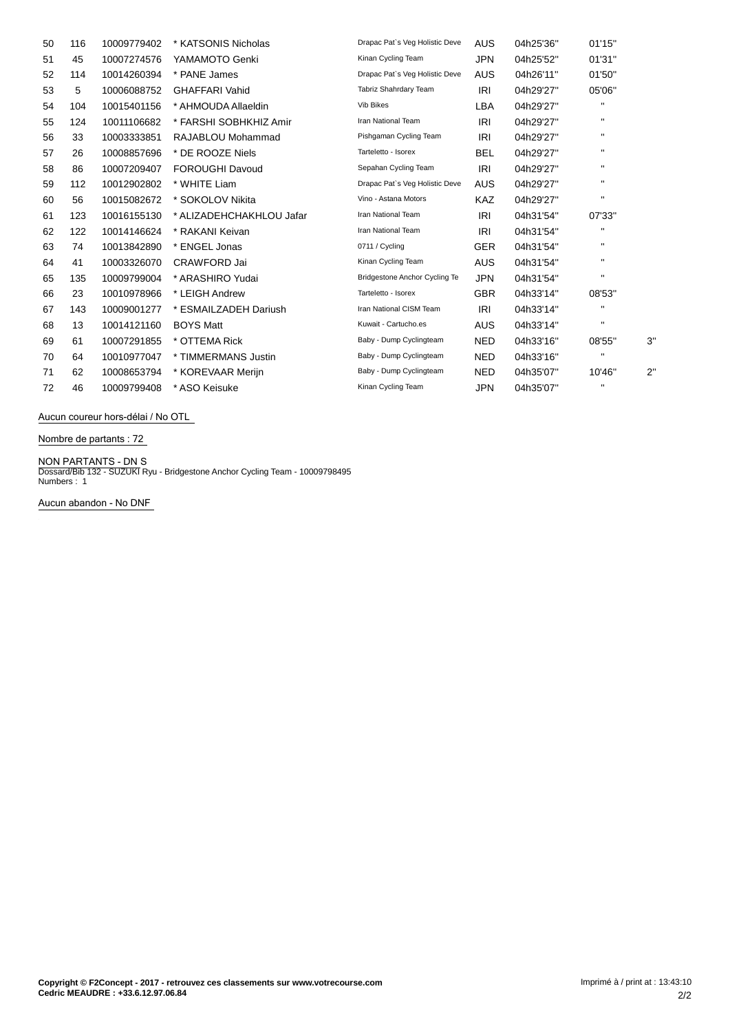| 50 | 116 | 10009779402 | * KATSONIS Nicholas      | Drapac Pat's Veg Holistic Deve | AUS        | 04h25'36" | 01'15"         |    |
|----|-----|-------------|--------------------------|--------------------------------|------------|-----------|----------------|----|
| 51 | 45  | 10007274576 | YAMAMOTO Genki           | Kinan Cycling Team             | <b>JPN</b> | 04h25'52" | 01'31"         |    |
| 52 | 114 | 10014260394 | * PANE James             | Drapac Pat's Veg Holistic Deve | AUS        | 04h26'11" | 01'50"         |    |
| 53 | 5   | 10006088752 | <b>GHAFFARI Vahid</b>    | Tabriz Shahrdary Team          | <b>IRI</b> | 04h29'27" | 05'06"         |    |
| 54 | 104 | 10015401156 | * AHMOUDA Allaeldin      | <b>Vib Bikes</b>               | LBA        | 04h29'27" | $\mathbf{H}$   |    |
| 55 | 124 | 10011106682 | * FARSHI SOBHKHIZ Amir   | Iran National Team             | <b>IRI</b> | 04h29'27" | $\mathbf{H}$   |    |
| 56 | 33  | 10003333851 | RAJABLOU Mohammad        | Pishgaman Cycling Team         | IRI        | 04h29'27" | $\mathbf{H}$   |    |
| 57 | 26  | 10008857696 | * DE ROOZE Niels         | Tarteletto - Isorex            | <b>BEL</b> | 04h29'27" | $\mathbf{H}$   |    |
| 58 | 86  | 10007209407 | <b>FOROUGHI Davoud</b>   | Sepahan Cycling Team           | <b>IRI</b> | 04h29'27" | $\mathbf{H}$   |    |
| 59 | 112 | 10012902802 | * WHITE Liam             | Drapac Pat's Veg Holistic Deve | AUS        | 04h29'27" | $\mathbf{H}$   |    |
| 60 | 56  | 10015082672 | * SOKOLOV Nikita         | Vino - Astana Motors           | <b>KAZ</b> | 04h29'27" | $\mathbf{H}$   |    |
| 61 | 123 | 10016155130 | * ALIZADEHCHAKHLOU Jafar | Iran National Team             | <b>IRI</b> | 04h31'54" | 07'33"         |    |
| 62 | 122 | 10014146624 | * RAKANI Keivan          | Iran National Team             | <b>IRI</b> | 04h31'54" | $\mathbf{H}$   |    |
| 63 | 74  | 10013842890 | * ENGEL Jonas            | 0711 / Cycling                 | <b>GER</b> | 04h31'54" | $\blacksquare$ |    |
| 64 | 41  | 10003326070 | CRAWFORD Jai             | Kinan Cycling Team             | <b>AUS</b> | 04h31'54" | $\mathbf{H}$   |    |
| 65 | 135 | 10009799004 | * ARASHIRO Yudai         | Bridgestone Anchor Cycling Te  | <b>JPN</b> | 04h31'54" | $\mathbf{H}$   |    |
| 66 | 23  | 10010978966 | * LEIGH Andrew           | Tarteletto - Isorex            | <b>GBR</b> | 04h33'14" | 08'53"         |    |
| 67 | 143 | 10009001277 | * ESMAILZADEH Dariush    | Iran National CISM Team        | <b>IRI</b> | 04h33'14" | п              |    |
| 68 | 13  | 10014121160 | <b>BOYS Matt</b>         | Kuwait - Cartucho.es           | AUS        | 04h33'14" | $\mathbf{H}$   |    |
| 69 | 61  | 10007291855 | * OTTEMA Rick            | Baby - Dump Cyclingteam        | <b>NED</b> | 04h33'16" | 08'55"         | 3" |
| 70 | 64  | 10010977047 | * TIMMERMANS Justin      | Baby - Dump Cyclingteam        | <b>NED</b> | 04h33'16" | $\mathbf{H}$   |    |
| 71 | 62  | 10008653794 | * KOREVAAR Merijn        | Baby - Dump Cyclingteam        | <b>NED</b> | 04h35'07" | 10'46"         | 2" |
| 72 | 46  | 10009799408 | * ASO Keisuke            | Kinan Cycling Team             | <b>JPN</b> | 04h35'07" | $\mathbf{H}$   |    |

**Aucun coureur hors-délai / No OTL** 

**Nombre de partants : 72**

**NON PARTANTS - DN** S Dossard/Bib 132 - SUZUKI Ryu - Bridgestone Anchor Cycling Team - 10009798495 Numbers : 1

**Aucun abandon - No DNF**

 $\mathbb{R}^2$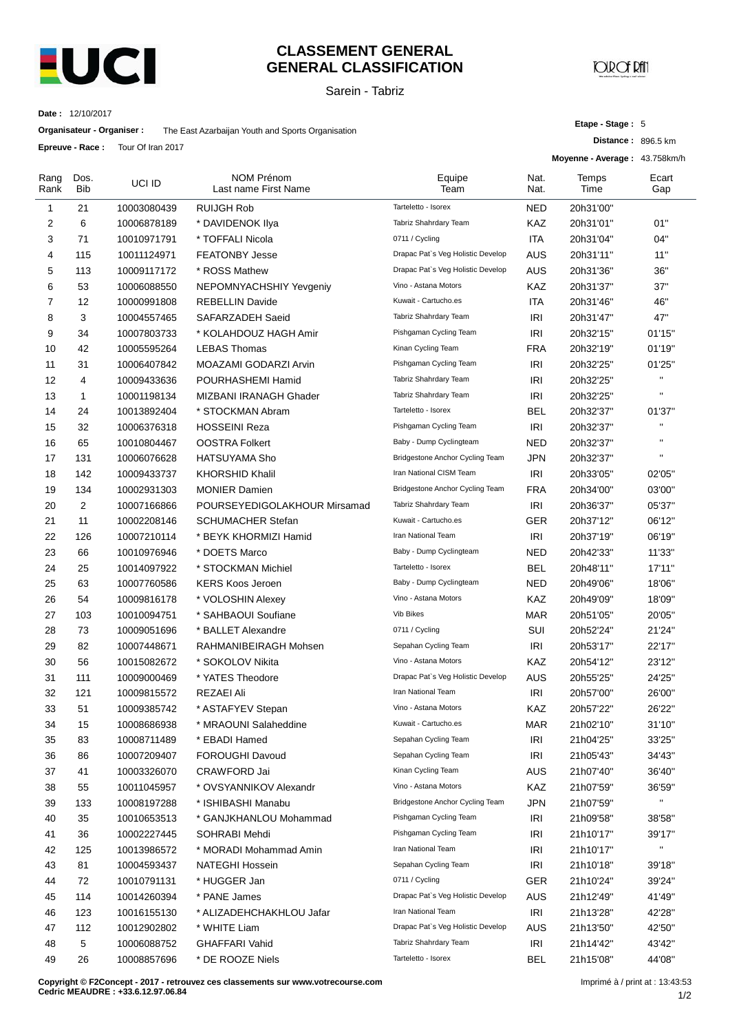

#### **CLASSEMENT GENERAL GENERAL CLASSIFICATION**

Sarein - Tabriz

**JOIR OF RAT** 

**Etape - Stage :** 5

**Distance :** 896.5 km

**Date :** 12/10/2017

**Organisateur - Organiser :** The East Azarbaijan Youth and Sports Organisation

**Epreuve - Race :** Tour Of Iran 2017

|                | LUI CUVC - NAUC. | $1001$ U $101$ $201$ |                                    |                                   |              | Moyenne - Average: 43.758km/h |                |
|----------------|------------------|----------------------|------------------------------------|-----------------------------------|--------------|-------------------------------|----------------|
| Rang<br>Rank   | Dos.<br>Bib      | UCI ID               | NOM Prénom<br>Last name First Name | Equipe<br>Team                    | Nat.<br>Nat. | Temps<br>Time                 | Ecart<br>Gap   |
| 1              | 21               | 10003080439          | <b>RUIJGH Rob</b>                  | Tarteletto - Isorex               | <b>NED</b>   | 20h31'00"                     |                |
| $\overline{c}$ | 6                | 10006878189          | * DAVIDENOK Ilya                   | Tabriz Shahrdary Team             | KAZ          | 20h31'01"                     | 01"            |
| 3              | 71               | 10010971791          | * TOFFALI Nicola                   | 0711 / Cycling                    | <b>ITA</b>   | 20h31'04"                     | 04"            |
| 4              | 115              | 10011124971          | <b>FEATONBY Jesse</b>              | Drapac Pat's Veg Holistic Develop | AUS          | 20h31'11"                     | 11"            |
| 5              | 113              | 10009117172          | * ROSS Mathew                      | Drapac Pat's Veg Holistic Develop | AUS          | 20h31'36"                     | 36"            |
| 6              | 53               | 10006088550          | NEPOMNYACHSHIY Yevgeniy            | Vino - Astana Motors              | KAZ          | 20h31'37"                     | 37"            |
| $\overline{7}$ | 12               | 10000991808          | <b>REBELLIN Davide</b>             | Kuwait - Cartucho.es              | ITA          | 20h31'46"                     | 46"            |
| 8              | 3                | 10004557465          | SAFARZADEH Saeid                   | Tabriz Shahrdary Team             | <b>IRI</b>   | 20h31'47"                     | 47"            |
| 9              | 34               | 10007803733          | * KOLAHDOUZ HAGH Amir              | Pishgaman Cycling Team            | <b>IRI</b>   | 20h32'15"                     | 01'15"         |
| 10             | 42               | 10005595264          | <b>LEBAS Thomas</b>                | Kinan Cycling Team                | <b>FRA</b>   | 20h32'19"                     | 01'19"         |
| 11             | 31               | 10006407842          | MOAZAMI GODARZI Arvin              | Pishgaman Cycling Team            | IRI          | 20h32'25"                     | 01'25"         |
| 12             | 4                | 10009433636          | POURHASHEMI Hamid                  | Tabriz Shahrdary Team             | <b>IRI</b>   | 20h32'25"                     | Ĥ.             |
| 13             | $\mathbf{1}$     | 10001198134          | MIZBANI IRANAGH Ghader             | Tabriz Shahrdary Team             | IRI          | 20h32'25"                     | Ħ              |
| 14             | 24               | 10013892404          | * STOCKMAN Abram                   | Tarteletto - Isorex               | BEL          | 20h32'37"                     | 01'37"         |
| 15             | 32               | 10006376318          | <b>HOSSEINI Reza</b>               | Pishgaman Cycling Team            | <b>IRI</b>   | 20h32'37"                     | $\mathbf{u}$   |
| 16             | 65               | 10010804467          | <b>OOSTRA Folkert</b>              | Baby - Dump Cyclingteam           | <b>NED</b>   | 20h32'37"                     | $\mathbf{u}$   |
| 17             | 131              | 10006076628          | HATSUYAMA Sho                      | Bridgestone Anchor Cycling Team   | JPN          | 20h32'37"                     | H,             |
| 18             | 142              | 10009433737          | <b>KHORSHID Khalil</b>             | Iran National CISM Team           | <b>IRI</b>   | 20h33'05"                     | 02'05"         |
| 19             | 134              | 10002931303          | <b>MONIER Damien</b>               | Bridgestone Anchor Cycling Team   | <b>FRA</b>   | 20h34'00"                     | 03'00"         |
| 20             | 2                | 10007166866          | POURSEYEDIGOLAKHOUR Mirsamad       | Tabriz Shahrdary Team             | <b>IRI</b>   | 20h36'37"                     | 05'37"         |
| 21             | 11               | 10002208146          | <b>SCHUMACHER Stefan</b>           | Kuwait - Cartucho.es              | <b>GER</b>   | 20h37'12"                     | 06'12"         |
| 22             | 126              | 10007210114          | * BEYK KHORMIZI Hamid              | Iran National Team                | <b>IRI</b>   | 20h37'19"                     | 06'19"         |
| 23             | 66               | 10010976946          | * DOETS Marco                      | Baby - Dump Cyclingteam           | <b>NED</b>   | 20h42'33"                     | 11'33"         |
| 24             | 25               | 10014097922          | * STOCKMAN Michiel                 | Tarteletto - Isorex               | BEL          | 20h48'11"                     | 17'11"         |
| 25             | 63               | 10007760586          | <b>KERS Koos Jeroen</b>            | Baby - Dump Cyclingteam           | <b>NED</b>   | 20h49'06"                     | 18'06"         |
| 26             | 54               | 10009816178          | * VOLOSHIN Alexey                  | Vino - Astana Motors              | KAZ          | 20h49'09"                     | 18'09"         |
| 27             | 103              | 10010094751          | * SAHBAOUI Soufiane                | Vib Bikes                         | <b>MAR</b>   | 20h51'05"                     | 20'05"         |
| 28             | 73               | 10009051696          | * BALLET Alexandre                 | 0711 / Cycling                    | SUI          | 20h52'24"                     | 21'24"         |
| 29             | 82               | 10007448671          | RAHMANIBEIRAGH Mohsen              | Sepahan Cycling Team              | <b>IRI</b>   | 20h53'17"                     | 22'17"         |
| 30             | 56               | 10015082672          | * SOKOLOV Nikita                   | Vino - Astana Motors              | KAZ          | 20h54'12"                     | 23'12"         |
| 31             | 111              | 10009000469          | * YATES Theodore                   | Drapac Pat's Veg Holistic Develop | AUS          | 20h55'25"                     | 24'25"         |
| 32             | 121              | 10009815572          | REZAEI Ali                         | Iran National Team                | <b>IRI</b>   | 20h57'00"                     | 26'00"         |
| 33             | 51               | 10009385742          | * ASTAFYEV Stepan                  | Vino - Astana Motors              | KAZ          | 20h57'22"                     | 26'22"         |
| 34             | 15               | 10008686938          | * MRAOUNI Salaheddine              | Kuwait - Cartucho.es              | <b>MAR</b>   | 21h02'10"                     | 31'10"         |
| 35             | 83               | 10008711489          | * EBADI Hamed                      | Sepahan Cycling Team              | <b>IRI</b>   | 21h04'25"                     | 33'25"         |
| 36             | 86               | 10007209407          | FOROUGHI Davoud                    | Sepahan Cycling Team              | IRI          | 21h05'43"                     | 34'43"         |
| 37             | 41               | 10003326070          | CRAWFORD Jai                       | Kinan Cycling Team                | AUS          | 21h07'40"                     | 36'40"         |
| 38             | 55               | 10011045957          | * OVSYANNIKOV Alexandr             | Vino - Astana Motors              | KAZ          | 21h07'59"                     | 36'59"         |
| 39             | 133              | 10008197288          | * ISHIBASHI Manabu                 | Bridgestone Anchor Cycling Team   | <b>JPN</b>   | 21h07'59"                     | $\blacksquare$ |
| 40             | 35               | 10010653513          | * GANJKHANLOU Mohammad             | Pishgaman Cycling Team            | <b>IRI</b>   | 21h09'58"                     | 38'58"         |
| 41             | 36               | 10002227445          | SOHRABI Mehdi                      | Pishgaman Cycling Team            | <b>IRI</b>   | 21h10'17"                     | 39'17"         |
| 42             | 125              | 10013986572          | * MORADI Mohammad Amin             | Iran National Team                | <b>IRI</b>   | 21h10'17"                     | u              |
| 43             | 81               | 10004593437          | NATEGHI Hossein                    | Sepahan Cycling Team              | <b>IRI</b>   | 21h10'18"                     | 39'18"         |
| 44             | 72               | 10010791131          | * HUGGER Jan                       | 0711 / Cycling                    | <b>GER</b>   | 21h10'24"                     | 39'24"         |
| 45             | 114              | 10014260394          | * PANE James                       | Drapac Pat's Veg Holistic Develop | AUS          | 21h12'49"                     | 41'49"         |
| 46             | 123              | 10016155130          | * ALIZADEHCHAKHLOU Jafar           | Iran National Team                | IRI          | 21h13'28"                     | 42'28"         |
| 47             | 112              | 10012902802          | * WHITE Liam                       | Drapac Pat's Veg Holistic Develop | AUS          | 21h13'50"                     | 42'50"         |
| 48             | 5                | 10006088752          | <b>GHAFFARI Vahid</b>              | Tabriz Shahrdary Team             | <b>IRI</b>   | 21h14'42"                     | 43'42"         |
| 49             | 26               | 10008857696          | * DE ROOZE Niels                   | Tarteletto - Isorex               | <b>BEL</b>   | 21h15'08"                     | 44'08"         |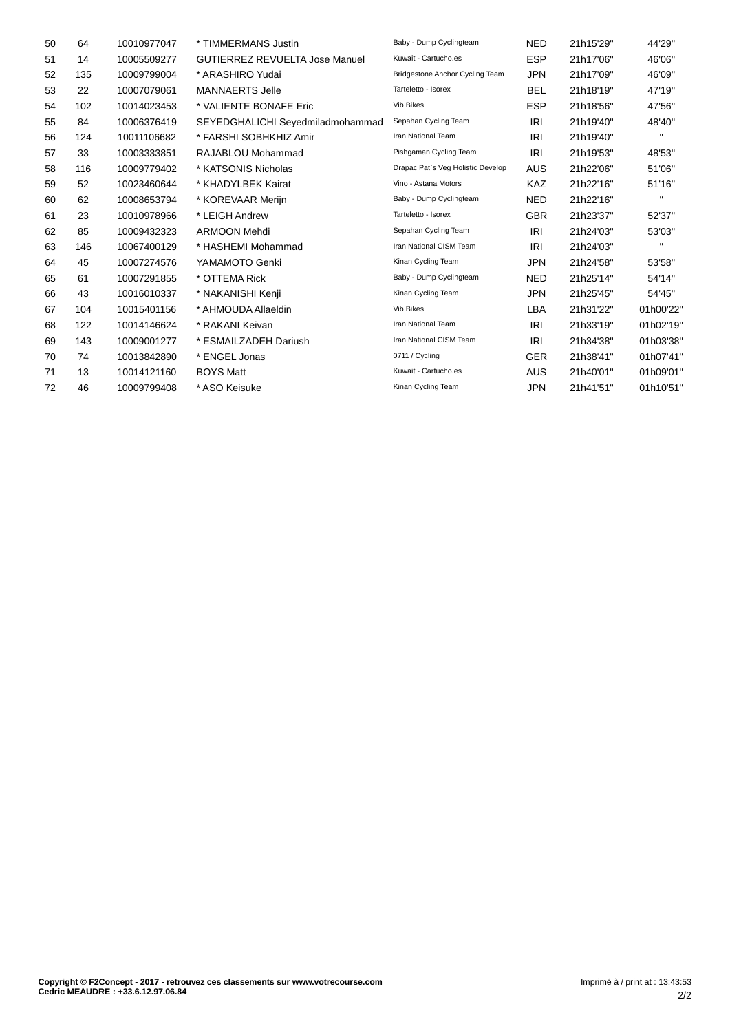| 50 | 64  | 10010977047 | * TIMMERMANS Justin                   | Baby - Dump Cyclingteam           | <b>NED</b> | 21h15'29" | 44'29"       |
|----|-----|-------------|---------------------------------------|-----------------------------------|------------|-----------|--------------|
| 51 | 14  | 10005509277 | <b>GUTIERREZ REVUELTA Jose Manuel</b> | Kuwait - Cartucho.es              | <b>ESP</b> | 21h17'06" | 46'06"       |
| 52 | 135 | 10009799004 | * ARASHIRO Yudai                      | Bridgestone Anchor Cycling Team   | <b>JPN</b> | 21h17'09" | 46'09"       |
| 53 | 22  | 10007079061 | <b>MANNAERTS Jelle</b>                | Tarteletto - Isorex               | <b>BEL</b> | 21h18'19" | 47'19"       |
| 54 | 102 | 10014023453 | * VALIENTE BONAFE Eric                | Vib Bikes                         | <b>ESP</b> | 21h18'56" | 47'56"       |
| 55 | 84  | 10006376419 | SEYEDGHALICHI Seyedmiladmohammad      | Sepahan Cycling Team              | <b>IRI</b> | 21h19'40" | 48'40"       |
| 56 | 124 | 10011106682 | * FARSHI SOBHKHIZ Amir                | Iran National Team                | IRI        | 21h19'40" | $\mathbf{H}$ |
| 57 | 33  | 10003333851 | RAJABLOU Mohammad                     | Pishgaman Cycling Team            | <b>IRI</b> | 21h19'53" | 48'53"       |
| 58 | 116 | 10009779402 | * KATSONIS Nicholas                   | Drapac Pat's Veg Holistic Develop | AUS        | 21h22'06" | 51'06"       |
| 59 | 52  | 10023460644 | * KHADYLBEK Kairat                    | Vino - Astana Motors              | <b>KAZ</b> | 21h22'16" | 51'16"       |
| 60 | 62  | 10008653794 | * KOREVAAR Merijn                     | Baby - Dump Cyclingteam           | <b>NED</b> | 21h22'16" | $\mathbf{H}$ |
| 61 | 23  | 10010978966 | * LEIGH Andrew                        | Tarteletto - Isorex               | <b>GBR</b> | 21h23'37" | 52'37"       |
| 62 | 85  | 10009432323 | <b>ARMOON Mehdi</b>                   | Sepahan Cycling Team              | IRI        | 21h24'03" | 53'03"       |
| 63 | 146 | 10067400129 | * HASHEMI Mohammad                    | Iran National CISM Team           | <b>IRI</b> | 21h24'03" | $\mathbf{H}$ |
| 64 | 45  | 10007274576 | YAMAMOTO Genki                        | Kinan Cycling Team                | <b>JPN</b> | 21h24'58" | 53'58"       |
| 65 | 61  | 10007291855 | * OTTEMA Rick                         | Baby - Dump Cyclingteam           | <b>NED</b> | 21h25'14" | 54'14"       |
| 66 | 43  | 10016010337 | * NAKANISHI Kenji                     | Kinan Cycling Team                | <b>JPN</b> | 21h25'45" | 54'45"       |
| 67 | 104 | 10015401156 | * AHMOUDA Allaeldin                   | Vib Bikes                         | LBA        | 21h31'22" | 01h00'22'    |
| 68 | 122 | 10014146624 | * RAKANI Keivan                       | Iran National Team                | <b>IRI</b> | 21h33'19" | 01h02'19'    |
| 69 | 143 | 10009001277 | * ESMAILZADEH Dariush                 | Iran National CISM Team           | <b>IRI</b> | 21h34'38" | 01h03'38'    |
| 70 | 74  | 10013842890 | * ENGEL Jonas                         | 0711 / Cycling                    | <b>GER</b> | 21h38'41" | 01h07'41'    |
| 71 | 13  | 10014121160 | <b>BOYS Matt</b>                      | Kuwait - Cartucho.es              | <b>AUS</b> | 21h40'01" | 01h09'01'    |
| 72 | 46  | 10009799408 | * ASO Keisuke                         | Kinan Cycling Team                | <b>JPN</b> | 21h41'51" | 01h10'51'    |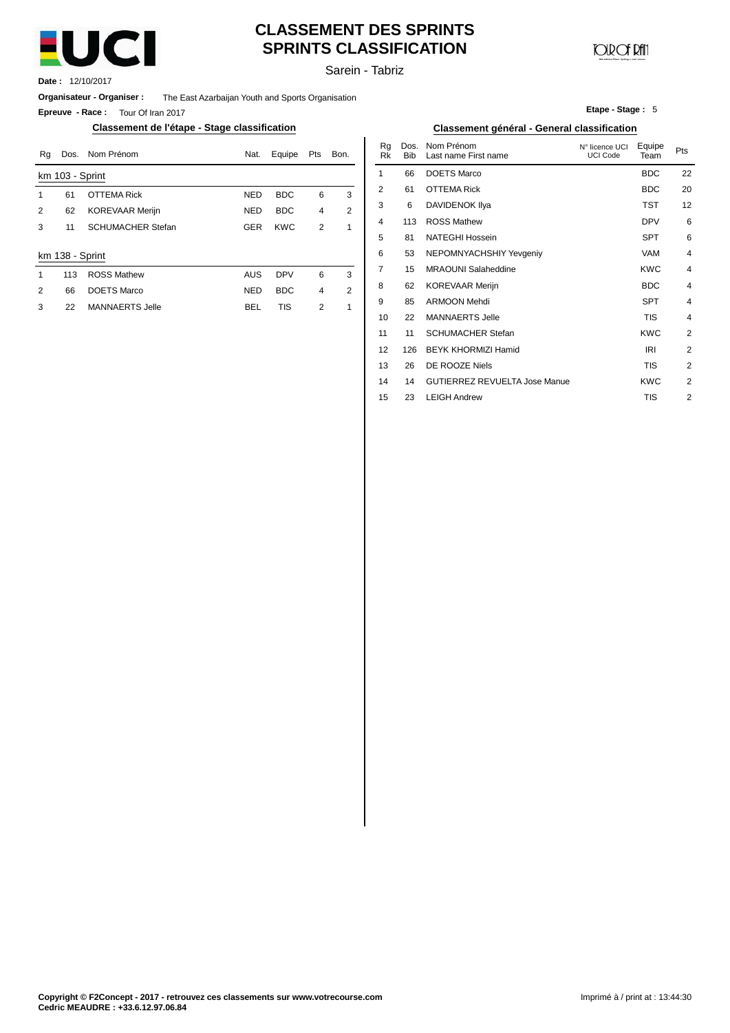

### **CLASSEMENT DES SPRINTS SPRINTS CLASSIFICATION**

## **JOIR OF RATI**

**Etape - Stage :** 5

Sarein - Tabriz

**Date :** 12/10/2017

**Organisateur - Organiser :** The East Azarbaijan Youth and Sports Organisation

**Epreuve - Race :** Tour Of Iran 2017

#### **Classement de l'étape - Stage classification Classement général - General classification**

| Rq | Dos.            | Nom Prénom               | Nat.       | Equipe     | Pts            | Bon. | Ra<br>Rk | Dos.<br><b>Bib</b> | Nom Prénom<br>Last name First name | N° licence UCI<br><b>UCI Code</b> | Equipe<br>Team | Pts |
|----|-----------------|--------------------------|------------|------------|----------------|------|----------|--------------------|------------------------------------|-----------------------------------|----------------|-----|
|    | km 103 - Sprint |                          |            |            |                |      |          | 66                 | <b>DOETS Marco</b>                 |                                   | <b>BDC</b>     | 22  |
|    | 61              | <b>OTTEMA Rick</b>       | <b>NED</b> | <b>BDC</b> | 6              | 3    | 2        | 61                 | <b>OTTEMA Rick</b>                 |                                   | <b>BDC</b>     | 20  |
| 2  | 62              | <b>KOREVAAR Merijn</b>   | <b>NED</b> | <b>BDC</b> | 4              | 2    | 3        | 6                  | DAVIDENOK IIya                     |                                   | <b>TST</b>     | 12  |
| 3  | 11              | <b>SCHUMACHER Stefan</b> | <b>GER</b> | <b>KWC</b> | 2              |      | 4        | 113                | <b>ROSS Mathew</b>                 |                                   | <b>DPV</b>     | 6   |
|    |                 |                          |            |            |                |      | 5        | 81                 | <b>NATEGHI Hossein</b>             |                                   | <b>SPT</b>     | 6   |
|    | km 138 - Sprint |                          |            |            |                |      | 6        | 53                 | NEPOMNYACHSHIY Yevgeniy            |                                   | <b>VAM</b>     |     |
|    | 113             | <b>ROSS Mathew</b>       | <b>AUS</b> | <b>DPV</b> | 6              | 3    |          | 15                 | <b>MRAOUNI Salaheddine</b>         |                                   | <b>KWC</b>     |     |
| 2  | 66              | <b>DOETS Marco</b>       | <b>NED</b> | <b>BDC</b> | $\overline{4}$ | 2    | 8        | 62                 | <b>KOREVAAR Merijn</b>             |                                   | <b>BDC</b>     |     |
| 3  | 22              | <b>MANNAERTS Jelle</b>   | <b>BEL</b> | <b>TIS</b> | $\overline{2}$ |      | 9        | 85                 | <b>ARMOON Mehdi</b>                |                                   | <b>SPT</b>     |     |
|    |                 |                          |            |            |                |      | 10       | 22                 | MANNAFRTS IPIIP                    |                                   | TIS            |     |

| Classement de l'étape - Stage classification |            |            |                         |      | Classement général - General classification |                    |                                      |                                   |                |     |  |
|----------------------------------------------|------------|------------|-------------------------|------|---------------------------------------------|--------------------|--------------------------------------|-----------------------------------|----------------|-----|--|
| Nom Prénom                                   | Nat.       | Equipe     | Pts                     | Bon. | Rq<br>Rk                                    | Dos.<br><b>Bib</b> | Nom Prénom<br>Last name First name   | N° licence UCI<br><b>UCI Code</b> | Equipe<br>Team | Pts |  |
| orint                                        |            |            |                         |      | 1                                           | 66                 | <b>DOETS Marco</b>                   |                                   | <b>BDC</b>     | 22  |  |
| <b>OTTEMA Rick</b>                           | <b>NED</b> | <b>BDC</b> | 6                       | 3    | 2                                           | 61                 | <b>OTTEMA Rick</b>                   |                                   | <b>BDC</b>     | 20  |  |
| KOREVAAR Merijn                              | <b>NED</b> | <b>BDC</b> | 4                       | 2    | 3                                           | 6                  | <b>DAVIDENOK IIya</b>                |                                   | <b>TST</b>     | 12  |  |
| SCHUMACHER Stefan                            | <b>GER</b> | <b>KWC</b> | 2                       | 1    | 4                                           | 113                | <b>ROSS Mathew</b>                   |                                   | <b>DPV</b>     | 6   |  |
|                                              |            |            |                         |      | 5                                           | 81                 | <b>NATEGHI Hossein</b>               |                                   | <b>SPT</b>     | 6   |  |
| orint                                        |            |            |                         |      | 6                                           | 53                 | NEPOMNYACHSHIY Yevgeniy              |                                   | VAM            | 4   |  |
| <b>ROSS Mathew</b>                           | <b>AUS</b> | <b>DPV</b> | 6                       | 3    | 7                                           | 15                 | <b>MRAOUNI Salaheddine</b>           |                                   | <b>KWC</b>     | 4   |  |
| DOETS Marco                                  | <b>NED</b> | <b>BDC</b> | $\overline{4}$          | 2    | 8                                           | 62                 | <b>KOREVAAR Merijn</b>               |                                   | <b>BDC</b>     | 4   |  |
| <b>MANNAERTS Jelle</b>                       | <b>BEL</b> | <b>TIS</b> | $\overline{\mathbf{c}}$ | 1    | 9                                           | 85                 | <b>ARMOON Mehdi</b>                  |                                   | <b>SPT</b>     | 4   |  |
|                                              |            |            |                         |      | 10                                          | 22                 | <b>MANNAERTS Jelle</b>               |                                   | <b>TIS</b>     | 4   |  |
|                                              |            |            |                         |      | 11                                          | 11                 | <b>SCHUMACHER Stefan</b>             |                                   | <b>KWC</b>     | 2   |  |
|                                              |            |            |                         |      | 12                                          | 126                | <b>BEYK KHORMIZI Hamid</b>           |                                   | IRI            | 2   |  |
|                                              |            |            |                         |      | 13                                          | 26                 | DE ROOZE Niels                       |                                   | <b>TIS</b>     | 2   |  |
|                                              |            |            |                         |      | 14                                          | 14                 | <b>GUTIERREZ REVUELTA Jose Manue</b> |                                   | <b>KWC</b>     | 2   |  |
|                                              |            |            |                         |      | 15                                          | 23                 | <b>LEIGH Andrew</b>                  |                                   | <b>TIS</b>     | 2   |  |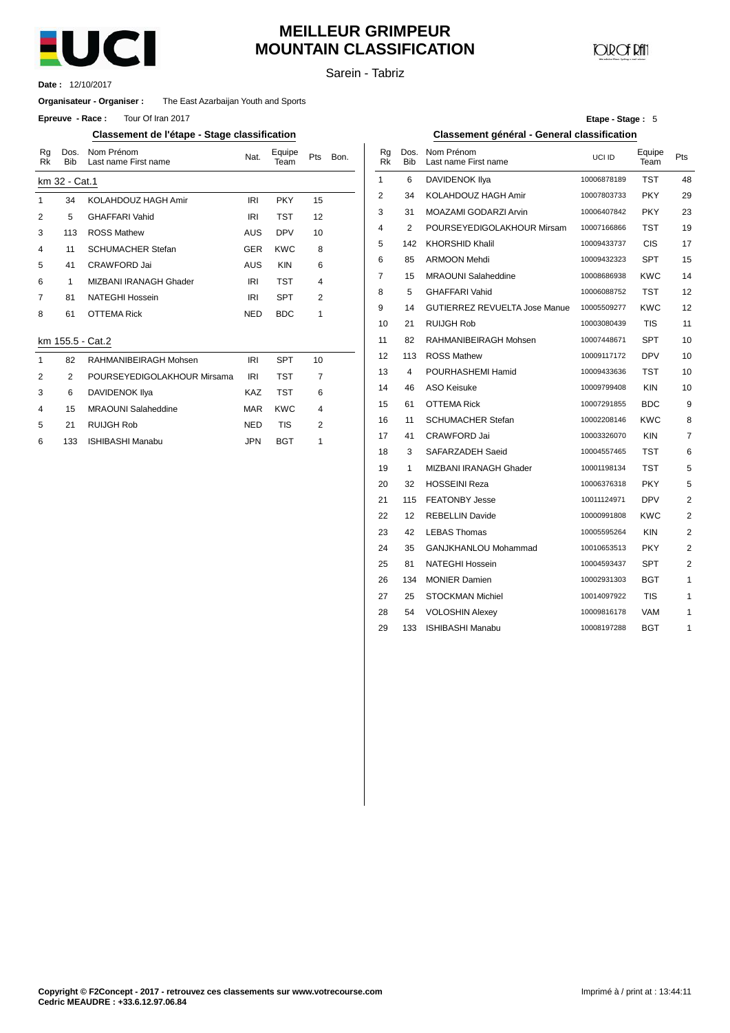

## **MEILLEUR GRIMPEUR MOUNTAIN CLASSIFICATION**

## **NDOF DAL**

Sarein - Tabriz

NATEGHI Hossein MONIER Damien STOCKMAN Michiel VOLOSHIN Alexey ISHIBASHI Manabu

12/10/2017 **Date :**

#### The East Azarbaijan Youth and Sports **Organisateur - Organiser :**

Tour Of Iran 2017 **Epreuve - Race :**

| Rg<br><b>Rk</b> | Dos.<br><b>Bib</b> | Nom Prénom<br>Last name First name | Nat.       | Equipe<br>Team | Pts            | Bon. | Rg<br><b>Rk</b> | Dos<br>Bit     |
|-----------------|--------------------|------------------------------------|------------|----------------|----------------|------|-----------------|----------------|
|                 | km 32 - Cat.1      |                                    |            |                |                |      | 1               | 6              |
| 1               | 34                 | KOLAHDOUZ HAGH Amir                | <b>IRI</b> | <b>PKY</b>     | 15             |      | $\overline{2}$  | 34             |
| 2               | 5                  | <b>GHAFFARI Vahid</b>              | <b>IRI</b> | <b>TST</b>     | 12             |      | 3               | 31             |
| 3               | 113                | <b>ROSS Mathew</b>                 | AUS        | <b>DPV</b>     | 10             |      | 4               | $\overline{2}$ |
| 4               | 11                 | <b>SCHUMACHER Stefan</b>           | <b>GER</b> | <b>KWC</b>     | 8              |      | 5               | 142            |
| 5               | 41                 | CRAWFORD Jai                       | <b>AUS</b> | <b>KIN</b>     | 6              |      | 6               | 85             |
| 6               | 1                  | MIZBANI IRANAGH Ghader             | <b>IRI</b> | <b>TST</b>     | $\overline{4}$ |      | 7               | 15             |
| 7               | 81                 | <b>NATEGHI Hossein</b>             | IRI        | <b>SPT</b>     | 2              |      | 8               | 5              |
| 8               | 61                 | <b>OTTEMA Rick</b>                 | <b>NED</b> | <b>BDC</b>     | 1              |      | 9               | 14             |
|                 |                    |                                    |            |                |                |      | 10              | 21             |
|                 |                    | km 155.5 - Cat.2                   |            |                |                |      | 11              | 82             |
| 1               | 82                 | RAHMANIBEIRAGH Mohsen              | <b>IRI</b> | <b>SPT</b>     | 10             |      | 12              | 113            |
| $\overline{2}$  | $\overline{2}$     | POURSEYEDIGOLAKHOUR Mirsama        | <b>IRI</b> | <b>TST</b>     | $\overline{7}$ |      | 13              | $\overline{4}$ |
| 3               | 6                  | DAVIDENOK IIya                     | KAZ        | <b>TST</b>     | 6              |      | 14              | 46             |
| 4               | 15                 | <b>MRAOUNI Salaheddine</b>         | <b>MAR</b> | <b>KWC</b>     | $\overline{4}$ |      | 15              | 61             |
| 5               | 21                 | <b>RUIJGH Rob</b>                  | <b>NED</b> | <b>TIS</b>     | $\overline{2}$ |      | 16              | 11             |

|  | 133 ISHIBASHI Manabu | JPN | <b>BGT</b> |  |
|--|----------------------|-----|------------|--|
|  |                      |     |            |  |

#### **Etape - Stage :** 5 **Classement de l'étape - Stage classification Classement général - General classification** Rg Rk 1 9 10 11 12 13 14 15 16 17 18 19 20 21 22 23 24 Dos. Bib 34 31 2 142 85 15 5 14 21 113 4  $\overline{AB}$ 61 11 41 3 1 32 115 12 42 35 Nom Prénom Bon. Rk Bib Last name First name example and the UCI ID Equipe Pts 48 29 <sup>23</sup> GHAFFARI Vahid MOAZAMI GODARZI Arvin 19 17 15 14 12 12 11 10 <sup>10</sup> RAHMANIBEIRAGH Mohsen 10 10 MRAOUNI Salaheddine MAR KWC 4 15 61 OTTEMA Rick 10007291855 BDC 9 8 7 6 5 5 2  $\overline{2}$  $\overline{2}$ 2 UCI ID DAVIDENOK Ilya KOLAHDOUZ HAGH Amir POURSEYEDIGOLAKHOUR Mirsam KHORSHID Khalil ARMOON Mehdi MRAOUNI Salaheddine GHAFFARI Vahid GUTIERREZ REVUELTA Jose Manue RUIJGH Rob RAHMANIBEIRAGH Mohsen **ROSS Mathew** POURHASHEMI Hamid ASO Keisuke **OTTEMA Rick** SCHUMACHER Stefan CRAWFORD Jai SAFARZADEH Saeid MIZBANI IRANAGH Ghader HOSSEINI Reza FEATONBY Jesse REBELLIN Davide LEBAS Thomas GANJKHANLOU Mohammad Equipe Team 10006878189 10007803733 10006407842 10007166866 10009433737 10009432323 10008686938 10006088752 10005509277 10003080439 10007448671 10009117172 10009433636 10009799408 10007291855 10002208146 10003326070 10004557465 10001198134 10006376318 10011124971 10000991808 10005595264 10010653513 TST **PKY PKY** TST CIS **SPT** KWC TST KWC TIS SPT DPV TST **KIN** BDC KWC KIN TST TST **PKY** DPV KWC KIN **PKY**

SPT **BGT** TIS VAM BGT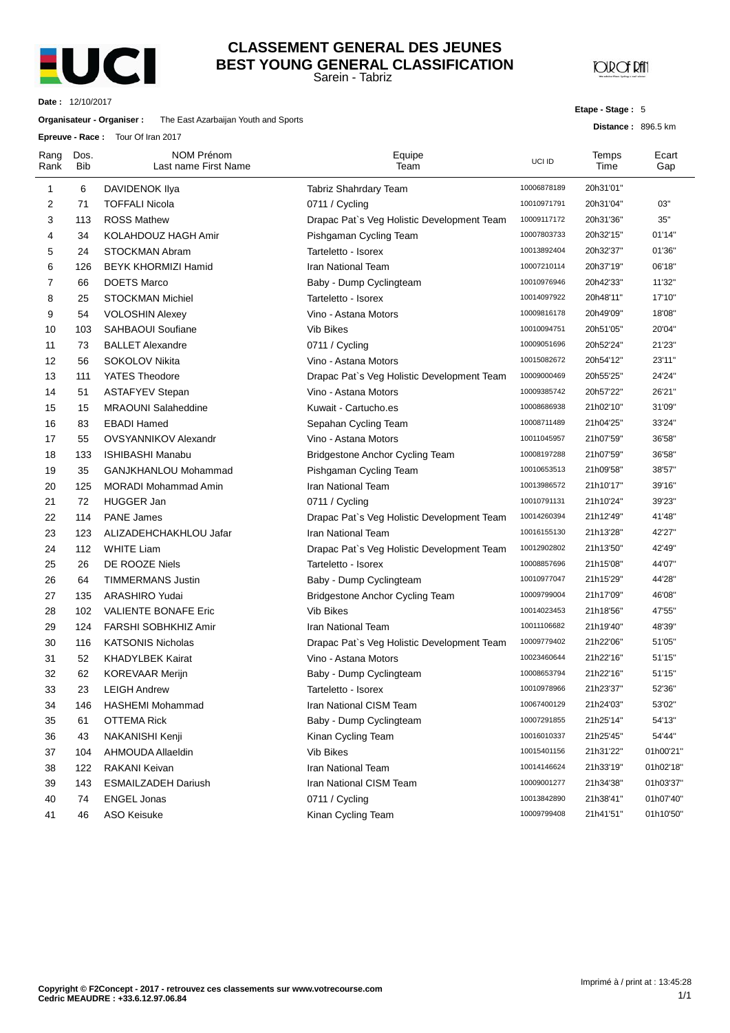

#### Sarein - Tabriz **CLASSEMENT GENERAL DES JEUNES BEST YOUNG GENERAL CLASSIFICATION**

**JOIR OF RAT** 

**Etape - Stage :** 5

**Distance :** 896.5 km

**Date :** 12/10/2017

#### **Organisateur - Organiser :** The East Azarbaijan Youth and Sports

**Epreuve - Race :** Tour Of Iran 2017

|              |             | $E$ preuve - Race. Tour Orlian 2017 |                                            |             |               |              |
|--------------|-------------|-------------------------------------|--------------------------------------------|-------------|---------------|--------------|
| Rang<br>Rank | Dos.<br>Bib | NOM Prénom<br>Last name First Name  | Equipe<br>Team                             | UCI ID      | Temps<br>Time | Ecart<br>Gap |
| 1            | 6           | DAVIDENOK Ilya                      | Tabriz Shahrdary Team                      | 10006878189 | 20h31'01"     |              |
| 2            | 71          | <b>TOFFALI Nicola</b>               | 0711 / Cycling                             | 10010971791 | 20h31'04"     | 03"          |
| 3            | 113         | <b>ROSS Mathew</b>                  | Drapac Pat's Veg Holistic Development Team | 10009117172 | 20h31'36"     | 35"          |
| 4            | 34          | KOLAHDOUZ HAGH Amir                 | Pishgaman Cycling Team                     | 10007803733 | 20h32'15"     | 01'14"       |
| 5            | 24          | STOCKMAN Abram                      | Tarteletto - Isorex                        | 10013892404 | 20h32'37"     | 01'36"       |
| 6            | 126         | BEYK KHORMIZI Hamid                 | Iran National Team                         | 10007210114 | 20h37'19"     | 06'18"       |
| 7            | 66          | <b>DOETS Marco</b>                  | Baby - Dump Cyclingteam                    | 10010976946 | 20h42'33"     | 11'32"       |
| 8            | 25          | <b>STOCKMAN Michiel</b>             | Tarteletto - Isorex                        | 10014097922 | 20h48'11"     | 17'10"       |
| 9            | 54          | <b>VOLOSHIN Alexey</b>              | Vino - Astana Motors                       | 10009816178 | 20h49'09"     | 18'08"       |
| 10           | 103         | <b>SAHBAOUI Soufiane</b>            | Vib Bikes                                  | 10010094751 | 20h51'05"     | 20'04"       |
| 11           | 73          | <b>BALLET Alexandre</b>             | 0711 / Cycling                             | 10009051696 | 20h52'24"     | 21'23"       |
| 12           | 56          | SOKOLOV Nikita                      | Vino - Astana Motors                       | 10015082672 | 20h54'12"     | 23'11"       |
| 13           | 111         | <b>YATES Theodore</b>               | Drapac Pat's Veg Holistic Development Team | 10009000469 | 20h55'25"     | 24'24"       |
| 14           | 51          | <b>ASTAFYEV Stepan</b>              | Vino - Astana Motors                       | 10009385742 | 20h57'22"     | 26'21"       |
| 15           | 15          | <b>MRAOUNI Salaheddine</b>          | Kuwait - Cartucho.es                       | 10008686938 | 21h02'10"     | 31'09"       |
| 16           | 83          | <b>EBADI Hamed</b>                  | Sepahan Cycling Team                       | 10008711489 | 21h04'25"     | 33'24"       |
| 17           | 55          | <b>OVSYANNIKOV Alexandr</b>         | Vino - Astana Motors                       | 10011045957 | 21h07'59"     | 36'58"       |
| 18           | 133         | <b>ISHIBASHI Manabu</b>             | <b>Bridgestone Anchor Cycling Team</b>     | 10008197288 | 21h07'59"     | 36'58"       |
| 19           | 35          | GANJKHANLOU Mohammad                | Pishgaman Cycling Team                     | 10010653513 | 21h09'58"     | 38'57"       |
| 20           | 125         | <b>MORADI Mohammad Amin</b>         | <b>Iran National Team</b>                  | 10013986572 | 21h10'17"     | 39'16"       |
| 21           | 72          | <b>HUGGER Jan</b>                   | 0711 / Cycling                             | 10010791131 | 21h10'24"     | 39'23"       |
| 22           | 114         | <b>PANE James</b>                   | Drapac Pat's Veg Holistic Development Team | 10014260394 | 21h12'49"     | 41'48"       |
| 23           | 123         | ALIZADEHCHAKHLOU Jafar              | Iran National Team                         | 10016155130 | 21h13'28"     | 42'27"       |
| 24           | 112         | <b>WHITE Liam</b>                   | Drapac Pat's Veg Holistic Development Team | 10012902802 | 21h13'50"     | 42'49"       |
| 25           | 26          | DE ROOZE Niels                      | Tarteletto - Isorex                        | 10008857696 | 21h15'08"     | 44'07"       |
| 26           | 64          | <b>TIMMERMANS Justin</b>            | Baby - Dump Cyclingteam                    | 10010977047 | 21h15'29"     | 44'28"       |
| 27           | 135         | ARASHIRO Yudai                      | <b>Bridgestone Anchor Cycling Team</b>     | 10009799004 | 21h17'09"     | 46'08"       |
| 28           | 102         | <b>VALIENTE BONAFE Eric</b>         | <b>Vib Bikes</b>                           | 10014023453 | 21h18'56"     | 47'55"       |
| 29           | 124         | <b>FARSHI SOBHKHIZ Amir</b>         | Iran National Team                         | 10011106682 | 21h19'40"     | 48'39"       |
| 30           | 116         | <b>KATSONIS Nicholas</b>            | Drapac Pat's Veg Holistic Development Team | 10009779402 | 21h22'06"     | 51'05"       |
| 31           | 52          | <b>KHADYLBEK Kairat</b>             | Vino - Astana Motors                       | 10023460644 | 21h22'16"     | 51'15"       |
| 32           | 62          | <b>KOREVAAR Merijn</b>              | Baby - Dump Cyclingteam                    | 10008653794 | 21h22'16"     | 51'15"       |
| 33           | 23          | <b>LEIGH Andrew</b>                 | Tarteletto - Isorex                        | 10010978966 | 21h23'37"     | 52'36"       |
| 34           | 146         | HASHEMI Mohammad                    | Iran National CISM Team                    | 10067400129 | 21h24'03"     | 53'02"       |
| 35           | 61          | <b>OTTEMA Rick</b>                  | Baby - Dump Cyclingteam                    | 10007291855 | 21h25'14"     | 54'13"       |
| 36           | 43          | NAKANISHI Kenji                     | Kinan Cycling Team                         | 10016010337 | 21h25'45"     | 54'44"       |
| 37           | 104         | AHMOUDA Allaeldin                   | Vib Bikes                                  | 10015401156 | 21h31'22"     | 01h00'21"    |
| 38           | 122         | RAKANI Keivan                       | <b>Iran National Team</b>                  | 10014146624 | 21h33'19"     | 01h02'18"    |
| 39           | 143         | <b>ESMAILZADEH Dariush</b>          | Iran National CISM Team                    | 10009001277 | 21h34'38"     | 01h03'37"    |
| 40           | 74          | <b>ENGEL Jonas</b>                  | 0711 / Cycling                             | 10013842890 | 21h38'41"     | 01h07'40"    |
| 41           | 46          | <b>ASO Keisuke</b>                  | Kinan Cycling Team                         | 10009799408 | 21h41'51"     | 01h10'50"    |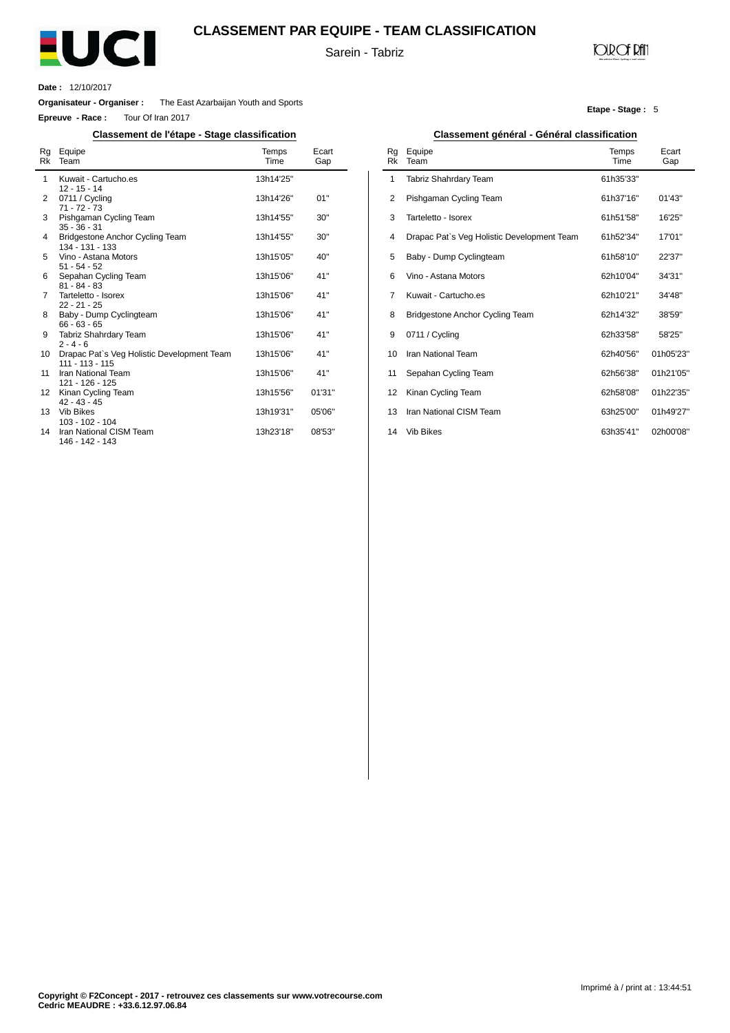

#### **CLASSEMENT PAR EQUIPE - TEAM CLASSIFICATION**

Sarein - Tabriz

### **JOIR OF RATI**

**Etape - Stage :** 5

**Date :** 12/10/2017

 $\overline{a}$ 

**Organisateur - Organiser :** The East Azarbaijan Youth and Sports

**Epreuve - Race :** Tour Of Iran 2017

#### **Classement de l'étape - Stage classification Classement général - Général classification**

| Rg<br>Rk | Equipe<br>Team                                                  | Temps<br>Time | Ecart<br>Gap |
|----------|-----------------------------------------------------------------|---------------|--------------|
| 1        | Kuwait - Cartucho.es<br>$12 - 15 - 14$                          | 13h14'25"     |              |
| 2        | 0711 / Cycling<br>$71 - 72 - 73$                                | 13h14'26"     | 01"          |
| 3        | Pishgaman Cycling Team<br>$35 - 36 - 31$                        | 13h14'55"     | 30"          |
| 4        | Bridgestone Anchor Cycling Team<br>134 - 131 - 133              | 13h14'55"     | 30"          |
| 5        | Vino - Astana Motors<br>$51 - 54 - 52$                          | 13h15'05"     | 40"          |
| 6        | Sepahan Cycling Team<br>$81 - 84 - 83$                          | 13h15'06"     | 41"          |
| 7        | Tarteletto - Isorex<br>$22 - 21 - 25$                           | 13h15'06"     | 41"          |
| 8        | Baby - Dump Cyclingteam<br>$66 - 63 - 65$                       | 13h15'06"     | 41"          |
| 9        | Tabriz Shahrdary Team<br>$2 - 4 - 6$                            | 13h15'06"     | 41"          |
| 10       | Drapac Pat's Veg Holistic Development Team<br>$111 - 113 - 115$ | 13h15'06"     | 41"          |
| 11       | Iran National Team<br>121 - 126 - 125                           | 13h15'06"     | 41"          |
| 12       | Kinan Cycling Team<br>$42 - 43 - 45$                            | 13h15'56"     | 01'31"       |
| 13       | Vib Bikes<br>103 - 102 - 104                                    | 13h19'31"     | 05'06"       |
| 14       | Iran National CISM Team<br>146 - 142 - 143                      | 13h23'18"     | 08'53"       |

| Rq<br>Rk | Equipe<br>Team                             | Temps<br>Time | Ecart<br>Gap |
|----------|--------------------------------------------|---------------|--------------|
| 1        | Tabriz Shahrdary Team                      | 61h35'33"     |              |
| 2        | Pishgaman Cycling Team                     | 61h37'16"     | 01'43"       |
| 3        | Tarteletto - Isorex                        | 61h51'58"     | 16'25"       |
| 4        | Drapac Pat's Veg Holistic Development Team | 61h52'34"     | 17'01"       |
| 5        | Baby - Dump Cyclingteam                    | 61h58'10"     | 22'37"       |
| 6        | Vino - Astana Motors                       | 62h10'04"     | 34'31"       |
| 7        | Kuwait - Cartucho.es                       | 62h10'21"     | 34'48"       |
| 8        | <b>Bridgestone Anchor Cycling Team</b>     | 62h14'32"     | 38'59"       |
| 9        | 0711 / Cycling                             | 62h33'58"     | 58'25"       |
| 10       | <b>Iran National Team</b>                  | 62h40'56"     | 01h05'23"    |
| 11       | Sepahan Cycling Team                       | 62h56'38"     | 01h21'05"    |
| 12       | Kinan Cycling Team                         | 62h58'08"     | 01h22'35"    |
| 13       | Iran National CISM Team                    | 63h25'00"     | 01h49'27"    |
| 14       | <b>Vib Bikes</b>                           | 63h35'41"     | 02h00'08"    |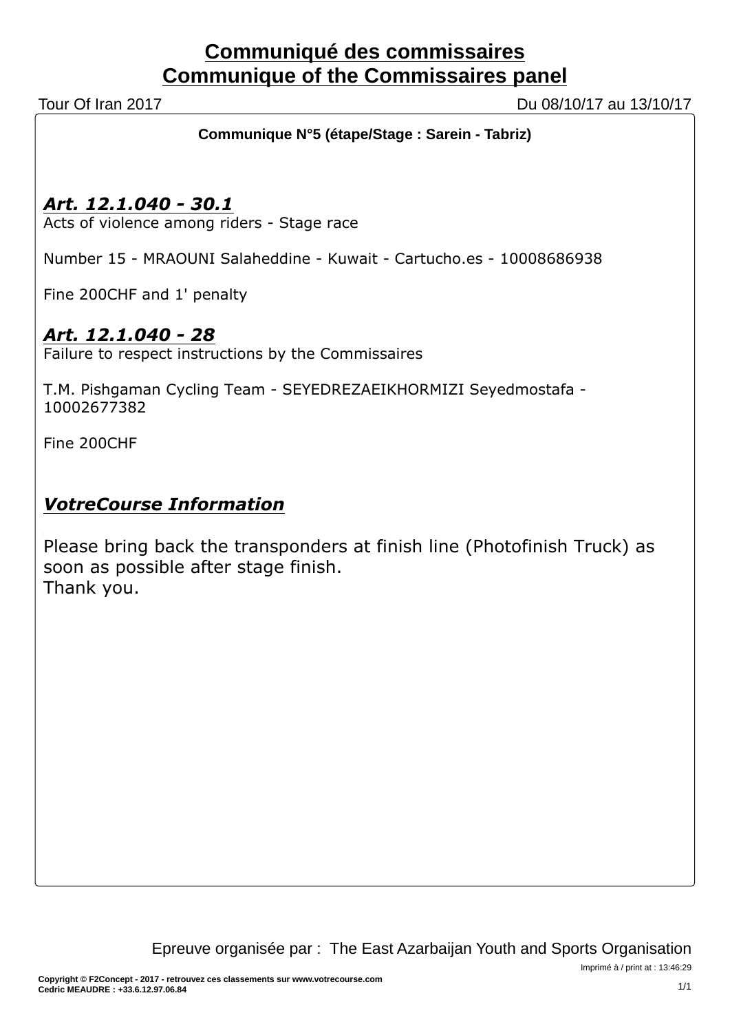# **Communiqué des commissaires Communique of the Commissaires panel**

Tour Of Iran 2017 Du 08/10/17 au 13/10/17

**Communique N°5 (étape/Stage : Sarein - Tabriz)**

# *Art. 12.1.040 - 30.1*

Acts of violence among riders - Stage race

Number 15 - MRAOUNI Salaheddine - Kuwait - Cartucho.es - 10008686938

Fine 200CHF and 1' penalty

# *Art. 12.1.040 - 28*

Failure to respect instructions by the Commissaires

T.M. Pishgaman Cycling Team - SEYEDREZAEIKHORMIZI Seyedmostafa - 10002677382

Fine 200CHF

# *VotreCourse Information*

Please bring back the transponders at finish line (Photofinish Truck) as soon as possible after stage finish. Thank you.

Epreuve organisée par : The East Azarbaijan Youth and Sports Organisation

Imprimé à / print at : 13:46:29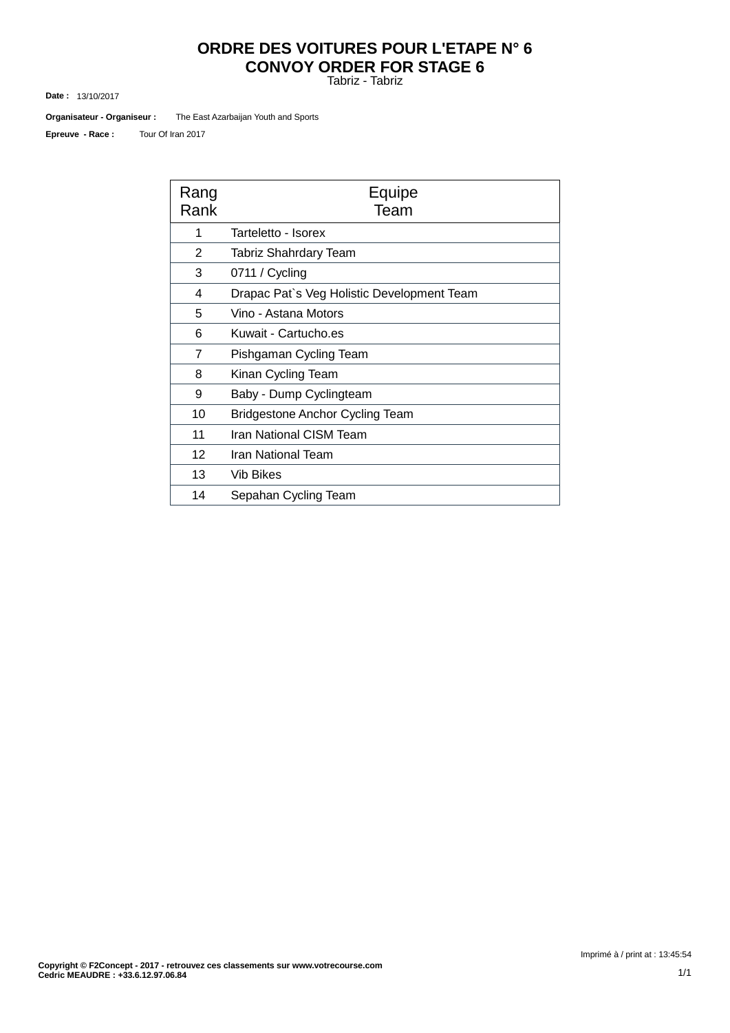# **ORDRE DES VOITURES POUR L'ETAPE N° 6 CONVOY ORDER FOR STAGE 6**

Tabriz - Tabriz

13/10/2017 **Date :**

The East Azarbaijan Youth and Sports **Organisateur - Organiseur :**

Tour Of Iran 2017 **Epreuve - Race :**

| Rang<br>Rank | Equipe<br>Team                             |
|--------------|--------------------------------------------|
| 1            | Tarteletto - Isorex                        |
| 2            | Tabriz Shahrdary Team                      |
| 3            | 0711 / Cycling                             |
| 4            | Drapac Pat's Veg Holistic Development Team |
| 5            | Vino - Astana Motors                       |
| 6            | Kuwait - Cartucho.es                       |
| 7            | Pishgaman Cycling Team                     |
| 8            | Kinan Cycling Team                         |
| 9            | Baby - Dump Cyclingteam                    |
| 10           | <b>Bridgestone Anchor Cycling Team</b>     |
| 11           | Iran National CISM Team                    |
| 12           | Iran National Team                         |
| 13           | Vib Bikes                                  |
| 14           | Sepahan Cycling Team                       |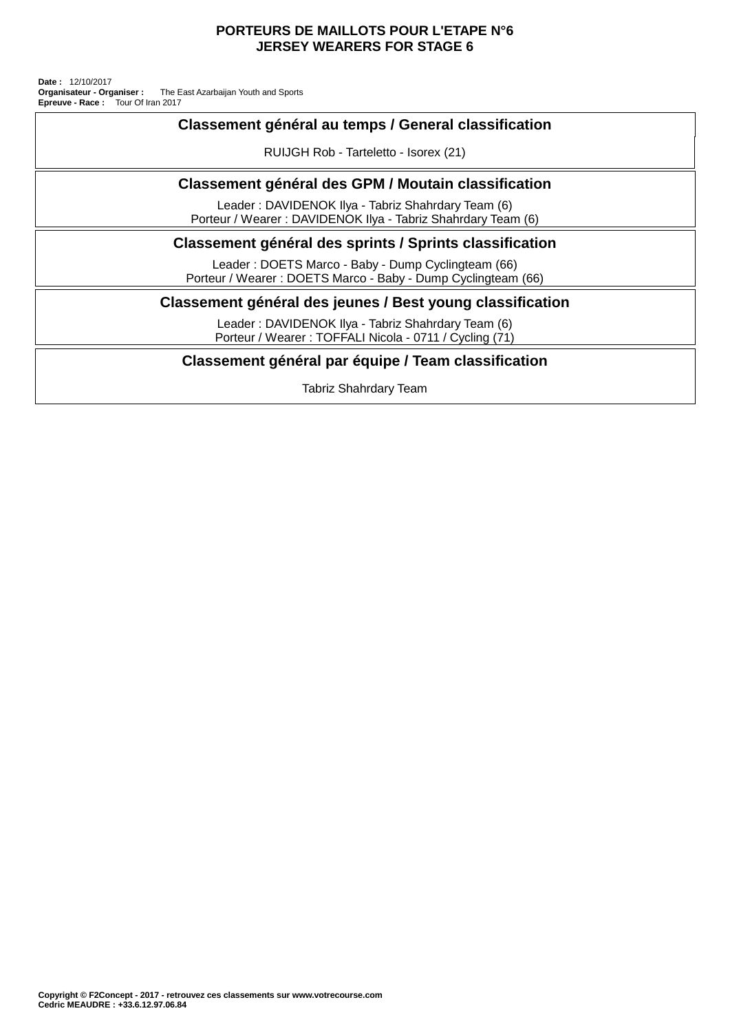#### **PORTEURS DE MAILLOTS POUR L'ETAPE N°6 JERSEY WEARERS FOR STAGE 6**

Tour Of Iran 2017 **Organisateur - Organiser :** The East Azarbaijan Youth and Sports **Date :** 12/10/2017 **Epreuve - Race :**

| Classement général au temps / General classification                                                               |
|--------------------------------------------------------------------------------------------------------------------|
| RUIJGH Rob - Tarteletto - Isorex (21)                                                                              |
| Classement général des GPM / Moutain classification                                                                |
| Leader: DAVIDENOK Ilya - Tabriz Shahrdary Team (6)<br>Porteur / Wearer: DAVIDENOK Ilya - Tabriz Shahrdary Team (6) |
| Classement général des sprints / Sprints classification                                                            |
| Leader: DOETS Marco - Baby - Dump Cyclingteam (66)<br>Porteur / Wearer: DOETS Marco - Baby - Dump Cyclingteam (66) |
| Classement général des jeunes / Best young classification                                                          |
| Leader: DAVIDENOK Ilya - Tabriz Shahrdary Team (6)<br>Porteur / Wearer: TOFFALI Nicola - 0711 / Cycling (71)       |
| Classement général par équipe / Team classification                                                                |
| Tabriz Shahrdary Team                                                                                              |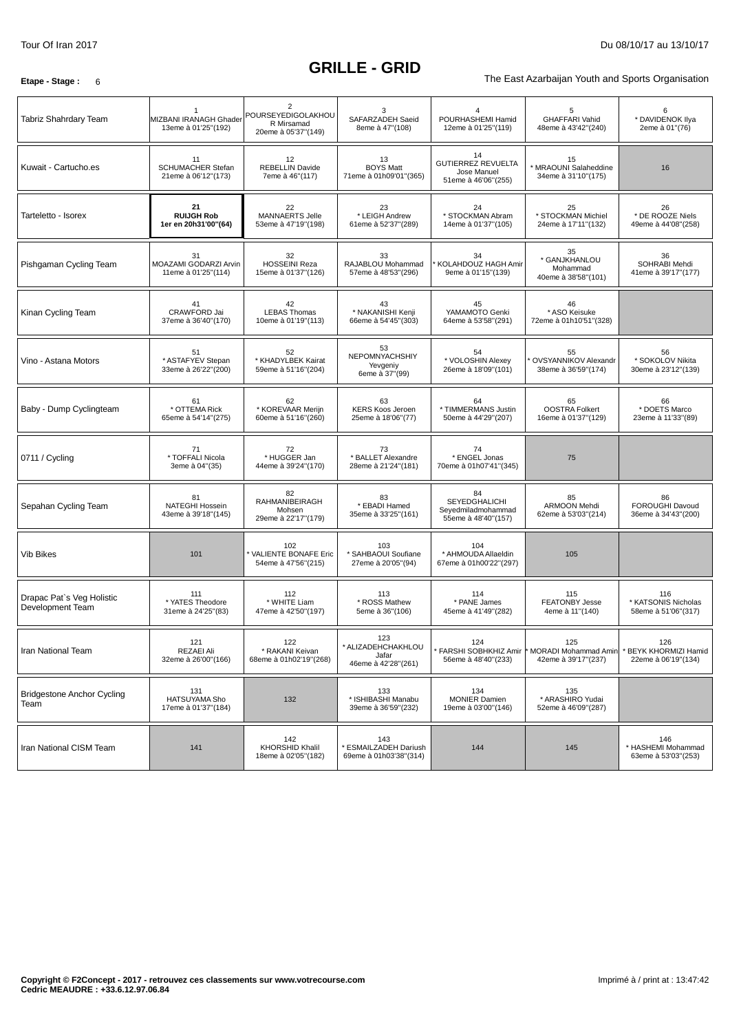# **GRILLE - GRID**

**Etape - Stage**: 6 6 **The East Azarbaijan Youth and Sports Organisation** 

| Tabriz Shahrdary Team                         | MIZBANI IRANAGH Ghader<br>13eme à 01'25"(192)         | $\overline{\mathbf{c}}$<br>POURSEYEDIGOLAKHOU<br>R Mirsamad<br>20eme à 05'37"(149) | 3<br>SAFARZADEH Saeid<br>8eme à 47"(108)                  | POURHASHEMI Hamid<br>12eme à 01'25"(119)                                | 5<br><b>GHAFFARI Vahid</b><br>48eme à 43'42"(240)        | 6<br>* DAVIDENOK Ilya<br>2eme à 01"(76)           |
|-----------------------------------------------|-------------------------------------------------------|------------------------------------------------------------------------------------|-----------------------------------------------------------|-------------------------------------------------------------------------|----------------------------------------------------------|---------------------------------------------------|
| Kuwait - Cartucho.es                          | 11<br><b>SCHUMACHER Stefan</b><br>21eme à 06'12"(173) | 12<br><b>REBELLIN Davide</b><br>7eme à 46"(117)                                    | 13<br><b>BOYS Matt</b><br>71eme à 01h09'01"(365)          | 14<br><b>GUTIERREZ REVUELTA</b><br>Jose Manuel<br>51eme à 46'06"(255)   | 15<br>MRAOUNI Salaheddine<br>34eme à 31'10"(175)         | 16                                                |
| Tarteletto - Isorex                           | 21<br><b>RUIJGH Rob</b><br>1er en 20h31'00"(64)       | 22<br>MANNAERTS Jelle<br>53eme à 47'19"(198)                                       | 23<br>* LEIGH Andrew<br>61eme à 52'37"(289)               | 24<br>* STOCKMAN Abram<br>14eme à 01'37"(105)                           | 25<br>* STOCKMAN Michiel<br>24eme à 17'11"(132)          | 26<br>* DE ROOZE Niels<br>49eme à 44'08"(258)     |
| Pishgaman Cycling Team                        | 31<br>MOAZAMI GODARZI Arvin<br>11eme à 01'25"(114)    | 32<br><b>HOSSEINI Reza</b><br>15eme à 01'37"(126)                                  | 33<br>RAJABLOU Mohammad<br>57eme à 48'53"(296)            | 34<br>KOLAHDOUZ HAGH Amir<br>9eme à 01'15"(139)                         | 35<br>* GANJKHANLOU<br>Mohammad<br>40eme à 38'58"(101)   | 36<br>SOHRABI Mehdi<br>41eme à 39'17"(177)        |
| Kinan Cycling Team                            | 41<br>CRAWFORD Jai<br>37eme à 36'40"(170)             | 42<br><b>LEBAS Thomas</b><br>10eme à 01'19"(113)                                   | 43<br>* NAKANISHI Kenji<br>66eme à 54'45"(303)            | 45<br>YAMAMOTO Genki<br>64eme à 53'58"(291)                             | 46<br>* ASO Keisuke<br>72eme à 01h10'51"(328)            |                                                   |
| Vino - Astana Motors                          | 51<br>* ASTAFYEV Stepan<br>33eme à 26'22"(200)        | 52<br>* KHADYLBEK Kairat<br>59eme à 51'16"(204)                                    | 53<br>NEPOMNYACHSHIY<br>Yevgeniy<br>6eme à 37"(99)        | 54<br>* VOLOSHIN Alexey<br>26eme à 18'09"(101)                          | 55<br><b>OVSYANNIKOV Alexandr</b><br>38eme à 36'59"(174) | 56<br>* SOKOLOV Nikita<br>30eme à 23'12"(139)     |
| Baby - Dump Cyclingteam                       | 61<br>* OTTEMA Rick<br>65eme à 54'14"(275)            | 62<br>* KOREVAAR Merijn<br>60eme à 51'16"(260)                                     | 63<br><b>KERS Koos Jeroen</b><br>25eme à 18'06"(77)       | 64<br>* TIMMERMANS Justin<br>50eme à 44'29"(207)                        | 65<br><b>OOSTRA Folkert</b><br>16eme à 01'37"(129)       | 66<br>* DOETS Marco<br>23eme à 11'33"(89)         |
| 0711 / Cycling                                | 71<br>* TOFFALI Nicola<br>3eme à 04"(35)              | 72<br>* HUGGER Jan<br>44eme à 39'24"(170)                                          | 73<br>* BALLET Alexandre<br>28eme à 21'24"(181)           | 74<br>* ENGEL Jonas<br>70eme à 01h07'41"(345)                           | 75                                                       |                                                   |
| Sepahan Cycling Team                          | 81<br><b>NATEGHI Hossein</b><br>43eme à 39'18"(145)   | 82<br><b>RAHMANIBEIRAGH</b><br>Mohsen<br>29eme à 22'17"(179)                       | 83<br>* EBADI Hamed<br>35eme à 33'25"(161)                | 84<br><b>SEYEDGHALICHI</b><br>Seyedmiladmohammad<br>55eme à 48'40"(157) | 85<br>ARMOON Mehdi<br>62eme à 53'03"(214)                | 86<br>FOROUGHI Davoud<br>36eme à 34'43"(200)      |
| <b>Vib Bikes</b>                              | 101                                                   | 102<br>VALIENTE BONAFE Eric<br>54eme à 47'56"(215)                                 | 103<br><b>SAHBAOUI Soufiane</b><br>27eme à 20'05"(94)     | 104<br>* AHMOUDA Allaeldin<br>67eme à 01h00'22"(297)                    | 105                                                      |                                                   |
| Drapac Pat's Veg Holistic<br>Development Team | 111<br>* YATES Theodore<br>31eme à 24'25"(83)         | 112<br>* WHITE Liam<br>47eme à 42'50"(197)                                         | 113<br>* ROSS Mathew<br>5eme à 36"(106)                   | 114<br>* PANE James<br>45eme à 41'49"(282)                              | 115<br><b>FEATONBY Jesse</b><br>4eme à 11"(140)          | 116<br>* KATSONIS Nicholas<br>58eme à 51'06"(317) |
| Iran National Team                            | 121<br>REZAEI Ali<br>32eme à 26'00"(166)              | 122<br>* RAKANI Keivan<br>68eme à 01h02'19"(268)                                   | 123<br>* ALIZADEHCHAKHLOU<br>Jafar<br>46eme à 42'28"(261) | 124<br>* FARSHI SOBHKHIZ Amir<br>56eme à 48'40"(233)                    | 125<br>MORADI Mohammad Amin<br>42eme à 39'17"(237)       | 126<br>BEYK KHORMIZI Hamid<br>22eme à 06'19"(134) |
| <b>Bridgestone Anchor Cycling</b><br>Team     | 131<br>HATSUYAMA Sho<br>17eme à 01'37"(184)           | 132                                                                                | 133<br>* ISHIBASHI Manabu<br>39eme à 36'59"(232)          | 134<br><b>MONIER Damien</b><br>19eme à 03'00"(146)                      | 135<br>* ARASHIRO Yudai<br>52eme à 46'09"(287)           |                                                   |
| Iran National CISM Team                       | 141                                                   | 142<br>KHORSHID Khalil<br>18eme à 02'05"(182)                                      | 143<br>* ESMAILZADEH Dariush<br>69eme à 01h03'38"(314)    | 144                                                                     | 145                                                      | 146<br>* HASHEMI Mohammad<br>63eme à 53'03"(253)  |